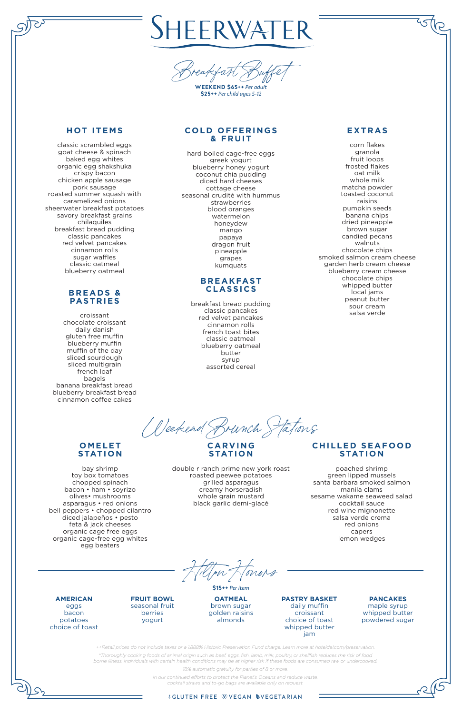*++Retail prices do not include taxes or a 1.888% Historic Preservation Fund charge. Learn more at hoteldel.com/preservation.*

*\*Thoroughly cooking foods of animal origin such as beef, eggs, fish, lamb, milk, poultry, or shellfish reduces the risk of food borne illness. Individuals with certain health conditions may be at higher risk if these foods are consumed raw or undercooked.*

*18% automatic gratuity for parties of 8 or more.*

*In our continued efforts to protect the Planet's Oceans and reduce waste, cocktail straws and to-go bags are available only on request.*

#### *IGLUTEN FREE WVEGAN NVEGETARIAN*

# SHEERWATER



**WEEKEND \$65++** *Per adult* **\$25++** *Per child ages 5-12*

# **HOT ITEMS**

### **COLD OFFERINGS & FRUIT**

classic scrambled eggs goat cheese & spinach baked egg whites organic egg shakshuka crispy bacon chicken apple sausage pork sausage roasted summer squash with caramelized onions sheerwater breakfast potatoes savory breakfast grains chilaquiles breakfast bread pudding classic pancakes red velvet pancakes cinnamon rolls sugar waffles classic oatmeal blueberry oatmeal

### **B R E A DS & PASTRIES**

croissant chocolate croissant daily danish gluten free muffin blueberry muffin muffin of the day sliced sourdough sliced multigrain french loaf bagels banana breakfast bread blueberry breakfast bread cinnamon coffee cakes

hard boiled cage-free eggs greek yogurt blueberry honey yogurt coconut chia pudding diced hard cheeses cottage cheese seasonal crudité with hummus strawberries blood oranges watermelon honeydew mango papaya dragon fruit pineapple grapes kumquats

## **CHILLED SEAFOOD STATION**

### **B R E A K FAST CLASSICS**

breakfast bread pudding classic pancakes red velvet pancakes cinnamon rolls french toast bites classic oatmeal blueberry oatmeal butter syrup assorted cereal

# **EXTRAS**

corn flakes granola fruit loops frosted flakes oat milk whole milk matcha powder toasted coconut raisins pumpkin seeds banana chips dried pineapple brown sugar candied pecans walnuts chocolate chips smoked salmon cream cheese garden herb cream cheese blueberry cream cheese chocolate chips whipped butter local jams peanut butter sour cream salsa verde

*Hilton Honors*

**\$15++** *Per item*

**AMERICAN** eggs bacon potatoes choice of toast **FRUIT BOWL** seasonal fruit berries yogurt **OATMEAL** brown sugar golden raisins almonds **PASTRY BASKET** daily muffin croissant choice of toast whipped butter jam

**PANCAKES** maple syrup whipped butter powdered sugar

*Weekend Brunch Stations*

# **O M E L E T STATION**

bay shrimp toy box tomatoes chopped spinach bacon • ham • soyrizo olives• mushrooms asparagus • red onions bell peppers • chopped cilantro diced jalapeños • pesto feta & jack cheeses organic cage free eggs organic cage-free egg whites egg beaters

Į

#### **C A RV I N G STATION**

double r ranch prime new york roast roasted peewee potatoes grilled asparagus creamy horseradish whole grain mustard black garlic demi-glacé

poached shrimp green lipped mussels santa barbara smoked salmon manila clams sesame wakame seaweed salad cocktail sauce red wine mignonette salsa verde crema red onions

capers lemon wedges